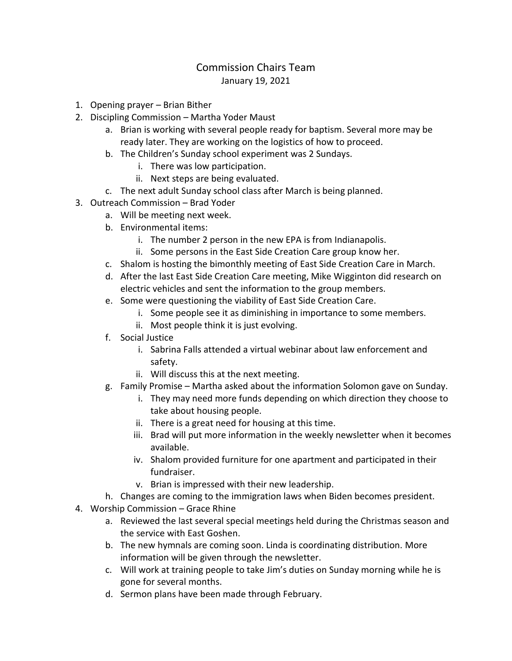## Commission Chairs Team January 19, 2021

- 1. Opening prayer Brian Bither
- 2. Discipling Commission Martha Yoder Maust
	- a. Brian is working with several people ready for baptism. Several more may be ready later. They are working on the logistics of how to proceed.
	- b. The Children's Sunday school experiment was 2 Sundays.
		- i. There was low participation.
		- ii. Next steps are being evaluated.
	- c. The next adult Sunday school class after March is being planned.
- 3. Outreach Commission Brad Yoder
	- a. Will be meeting next week.
	- b. Environmental items:
		- i. The number 2 person in the new EPA is from Indianapolis.
		- ii. Some persons in the East Side Creation Care group know her.
	- c. Shalom is hosting the bimonthly meeting of East Side Creation Care in March.
	- d. After the last East Side Creation Care meeting, Mike Wigginton did research on electric vehicles and sent the information to the group members.
	- e. Some were questioning the viability of East Side Creation Care.
		- i. Some people see it as diminishing in importance to some members.
		- ii. Most people think it is just evolving.
	- f. Social Justice
		- i. Sabrina Falls attended a virtual webinar about law enforcement and safety.
		- ii. Will discuss this at the next meeting.
	- g. Family Promise Martha asked about the information Solomon gave on Sunday.
		- i. They may need more funds depending on which direction they choose to take about housing people.
		- ii. There is a great need for housing at this time.
		- iii. Brad will put more information in the weekly newsletter when it becomes available.
		- iv. Shalom provided furniture for one apartment and participated in their fundraiser.
		- v. Brian is impressed with their new leadership.
	- h. Changes are coming to the immigration laws when Biden becomes president.
- 4. Worship Commission Grace Rhine
	- a. Reviewed the last several special meetings held during the Christmas season and the service with East Goshen.
	- b. The new hymnals are coming soon. Linda is coordinating distribution. More information will be given through the newsletter.
	- c. Will work at training people to take Jim's duties on Sunday morning while he is gone for several months.
	- d. Sermon plans have been made through February.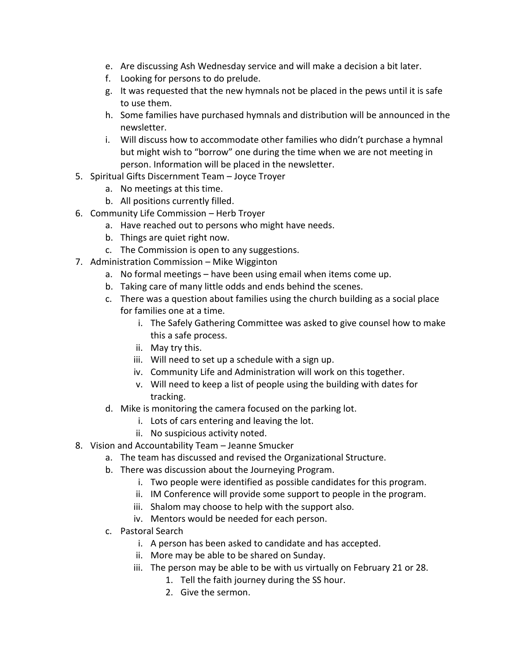- e. Are discussing Ash Wednesday service and will make a decision a bit later.
- f. Looking for persons to do prelude.
- g. It was requested that the new hymnals not be placed in the pews until it is safe to use them.
- h. Some families have purchased hymnals and distribution will be announced in the newsletter.
- i. Will discuss how to accommodate other families who didn't purchase a hymnal but might wish to "borrow" one during the time when we are not meeting in person. Information will be placed in the newsletter.
- 5. Spiritual Gifts Discernment Team Joyce Troyer
	- a. No meetings at this time.
	- b. All positions currently filled.
- 6. Community Life Commission Herb Troyer
	- a. Have reached out to persons who might have needs.
	- b. Things are quiet right now.
	- c. The Commission is open to any suggestions.
- 7. Administration Commission Mike Wigginton
	- a. No formal meetings have been using email when items come up.
	- b. Taking care of many little odds and ends behind the scenes.
	- c. There was a question about families using the church building as a social place for families one at a time.
		- i. The Safely Gathering Committee was asked to give counsel how to make this a safe process.
		- ii. May try this.
		- iii. Will need to set up a schedule with a sign up.
		- iv. Community Life and Administration will work on this together.
		- v. Will need to keep a list of people using the building with dates for tracking.
	- d. Mike is monitoring the camera focused on the parking lot.
		- i. Lots of cars entering and leaving the lot.
		- ii. No suspicious activity noted.
- 8. Vision and Accountability Team Jeanne Smucker
	- a. The team has discussed and revised the Organizational Structure.
	- b. There was discussion about the Journeying Program.
		- i. Two people were identified as possible candidates for this program.
		- ii. IM Conference will provide some support to people in the program.
		- iii. Shalom may choose to help with the support also.
		- iv. Mentors would be needed for each person.
	- c. Pastoral Search
		- i. A person has been asked to candidate and has accepted.
		- ii. More may be able to be shared on Sunday.
		- iii. The person may be able to be with us virtually on February 21 or 28.
			- 1. Tell the faith journey during the SS hour.
			- 2. Give the sermon.